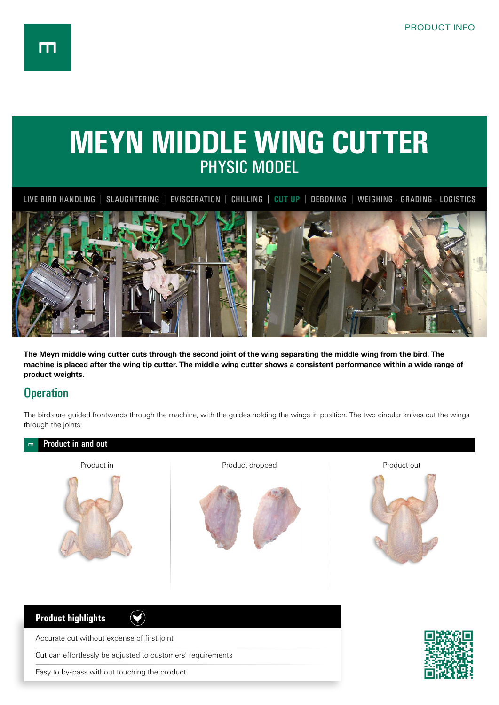## **MEYN MIDDLE WING CUTTER** PHYSIC MODEL

LIVE BIRD HANDLING | SLAUGHTERING | EVISCERATION | CHILLING | **CUT UP** | DEBONING | WEIGHING - GRADING - LOGISTICS



**The Meyn middle wing cutter cuts through the second joint of the wing separating the middle wing from the bird. The machine is placed after the wing tip cutter. The middle wing cutter shows a consistent performance within a wide range of product weights.**

## **Operation**

The birds are guided frontwards through the machine, with the guides holding the wings in position. The two circular knives cut the wings through the joints.